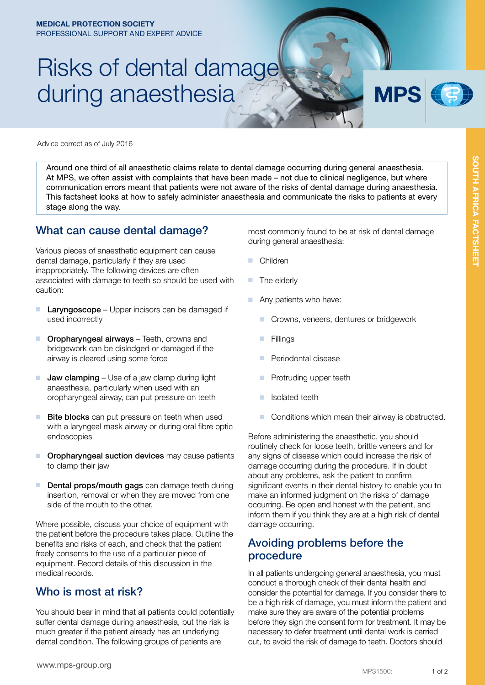# Risks of dental damage during anaesthesia

**MPS** 

Advice correct as of July 2016

Around one third of all anaesthetic claims relate to dental damage occurring during general anaesthesia. At MPS, we often assist with complaints that have been made – not due to clinical negligence, but where communication errors meant that patients were not aware of the risks of dental damage during anaesthesia. This factsheet looks at how to safely administer anaesthesia and communicate the risks to patients at every stage along the way.

#### What can cause dental damage?

Various pieces of anaesthetic equipment can cause dental damage, particularly if they are used inappropriately. The following devices are often associated with damage to teeth so should be used with caution:

- Laryngoscope Upper incisors can be damaged if used incorrectly
- Oropharyngeal airways Teeth, crowns and bridgework can be dislodged or damaged if the airway is cleared using some force
- **Jaw clamping** Use of a jaw clamp during light anaesthesia, particularly when used with an oropharyngeal airway, can put pressure on teeth
- Bite blocks can put pressure on teeth when used with a laryngeal mask airway or during oral fibre optic endoscopies
- Oropharyngeal suction devices may cause patients to clamp their jaw
- Dental props/mouth gags can damage teeth during insertion, removal or when they are moved from one side of the mouth to the other.

Where possible, discuss your choice of equipment with the patient before the procedure takes place. Outline the benefits and risks of each, and check that the patient freely consents to the use of a particular piece of equipment. Record details of this discussion in the medical records.

### Who is most at risk?

You should bear in mind that all patients could potentially suffer dental damage during anaesthesia, but the risk is much greater if the patient already has an underlying dental condition. The following groups of patients are

most commonly found to be at risk of dental damage during general anaesthesia:

- **Children**
- The elderly
- Any patients who have:
	- Crowns, veneers, dentures or bridgework
	- **Fillings**
	- Periodontal disease
	- Protruding upper teeth
	- Isolated teeth
	- Conditions which mean their airway is obstructed.

Before administering the anaesthetic, you should routinely check for loose teeth, brittle veneers and for any signs of disease which could increase the risk of damage occurring during the procedure. If in doubt about any problems, ask the patient to confirm significant events in their dental history to enable you to make an informed judgment on the risks of damage occurring. Be open and honest with the patient, and inform them if you think they are at a high risk of dental damage occurring.

### Avoiding problems before the procedure

In all patients undergoing general anaesthesia, you must conduct a thorough check of their dental health and consider the potential for damage. If you consider there to be a high risk of damage, you must inform the patient and make sure they are aware of the potential problems before they sign the consent form for treatment. It may be necessary to defer treatment until dental work is carried out, to avoid the risk of damage to teeth. Doctors should

SUU H AFHICA FAC

SOUTH AFRICA FACTSHEET

SOUTH AFRICA FACTSHEET